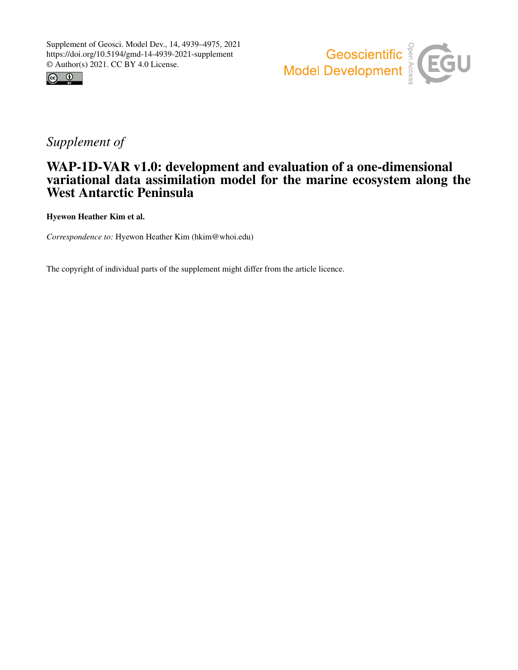



# *Supplement of*

# WAP-1D-VAR v1.0: development and evaluation of a one-dimensional variational data assimilation model for the marine ecosystem along the West Antarctic Peninsula

Hyewon Heather Kim et al.

*Correspondence to:* Hyewon Heather Kim (hkim@whoi.edu)

The copyright of individual parts of the supplement might differ from the article licence.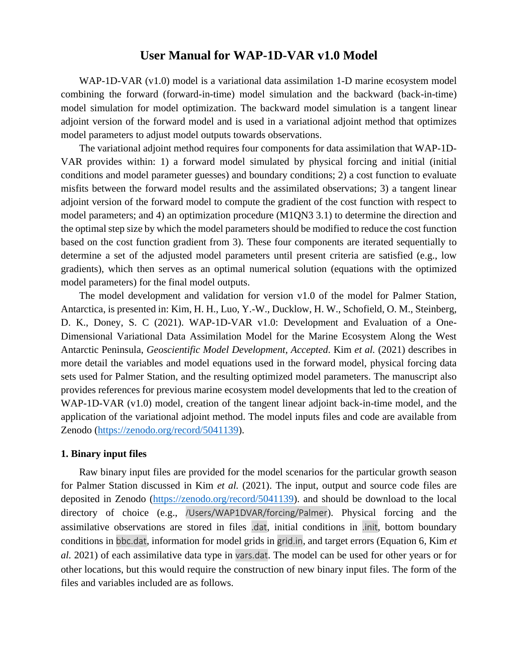# **User Manual for WAP-1D-VAR v1.0 Model**

WAP-1D-VAR (v1.0) model is a variational data assimilation 1-D marine ecosystem model combining the forward (forward-in-time) model simulation and the backward (back-in-time) model simulation for model optimization. The backward model simulation is a tangent linear adjoint version of the forward model and is used in a variational adjoint method that optimizes model parameters to adjust model outputs towards observations.

The variational adjoint method requires four components for data assimilation that WAP-1D-VAR provides within: 1) a forward model simulated by physical forcing and initial (initial conditions and model parameter guesses) and boundary conditions; 2) a cost function to evaluate misfits between the forward model results and the assimilated observations; 3) a tangent linear adjoint version of the forward model to compute the gradient of the cost function with respect to model parameters; and 4) an optimization procedure (M1QN3 3.1) to determine the direction and the optimal step size by which the model parameters should be modified to reduce the cost function based on the cost function gradient from 3). These four components are iterated sequentially to determine a set of the adjusted model parameters until present criteria are satisfied (e.g., low gradients), which then serves as an optimal numerical solution (equations with the optimized model parameters) for the final model outputs.

The model development and validation for version v1.0 of the model for Palmer Station, Antarctica, is presented in: Kim, H. H., Luo, Y.-W., Ducklow, H. W., Schofield, O. M., Steinberg, D. K., Doney, S. C (2021). WAP-1D-VAR v1.0: Development and Evaluation of a One-Dimensional Variational Data Assimilation Model for the Marine Ecosystem Along the West Antarctic Peninsula, *Geoscientific Model Development, Accepted*. Kim *et al.* (2021) describes in more detail the variables and model equations used in the forward model, physical forcing data sets used for Palmer Station, and the resulting optimized model parameters. The manuscript also provides references for previous marine ecosystem model developments that led to the creation of WAP-1D-VAR (v1.0) model, creation of the tangent linear adjoint back-in-time model, and the application of the variational adjoint method. The model inputs files and code are available from Zenodo [\(https://zenodo.org/record/5041139\)](https://zenodo.org/record/5041139).

#### **1. Binary input files**

Raw binary input files are provided for the model scenarios for the particular growth season for Palmer Station discussed in Kim *et al.* (2021). The input, output and source code files are deposited in Zenodo [\(https://zenodo.org/record/5041139\)](https://zenodo.org/record/5041139). and should be download to the local directory of choice (e.g., /Users/WAP1DVAR/forcing/Palmer). Physical forcing and the assimilative observations are stored in files .dat, initial conditions in .init, bottom boundary conditions in bbc.dat, information for model grids in grid.in, and target errors (Equation 6, Kim *et al.* 2021) of each assimilative data type in vars.dat. The model can be used for other years or for other locations, but this would require the construction of new binary input files. The form of the files and variables included are as follows.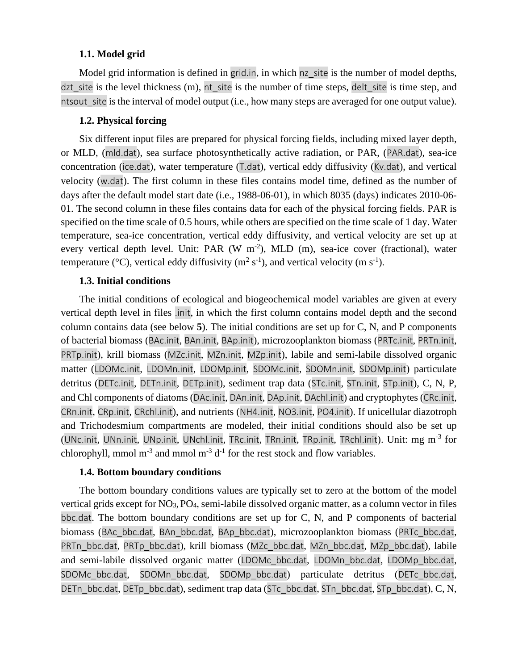#### **1.1. Model grid**

Model grid information is defined in grid.in, in which nz site is the number of model depths, dzt site is the level thickness  $(m)$ , nt site is the number of time steps, delt site is time step, and ntsout site is the interval of model output (i.e., how many steps are averaged for one output value).

# **1.2. Physical forcing**

Six different input files are prepared for physical forcing fields, including mixed layer depth, or MLD, (mld.dat), sea surface photosynthetically active radiation, or PAR, (PAR.dat), sea-ice concentration (ice.dat), water temperature (T.dat), vertical eddy diffusivity (Kv.dat), and vertical velocity (w.dat). The first column in these files contains model time, defined as the number of days after the default model start date (i.e., 1988-06-01), in which 8035 (days) indicates 2010-06- 01. The second column in these files contains data for each of the physical forcing fields. PAR is specified on the time scale of 0.5 hours, while others are specified on the time scale of 1 day. Water temperature, sea-ice concentration, vertical eddy diffusivity, and vertical velocity are set up at every vertical depth level. Unit: PAR (W m<sup>-2</sup>), MLD (m), sea-ice cover (fractional), water temperature (°C), vertical eddy diffusivity ( $m^2$  s<sup>-1</sup>), and vertical velocity (m s<sup>-1</sup>).

## **1.3. Initial conditions**

The initial conditions of ecological and biogeochemical model variables are given at every vertical depth level in files .init, in which the first column contains model depth and the second column contains data (see below **5**). The initial conditions are set up for C, N, and P components of bacterial biomass (BAc.init, BAn.init, BAp.init), microzooplankton biomass (PRTc.init, PRTn.init, PRTp.init), krill biomass (MZc.init, MZn.init, MZp.init), labile and semi-labile dissolved organic matter (LDOMc.init, LDOMn.init, LDOMp.init, SDOMc.init, SDOMn.init, SDOMp.init) particulate detritus (DETc.init, DETn.init, DETp.init), sediment trap data (STc.init, STn.init, STp.init), C, N, P, and Chl components of diatoms (DAc.init, DAn.init, DAp.init, DAchl.init) and cryptophytes (CRc.init, CRn.init, CRp.init, CRchl.init), and nutrients (NH4.init, NO3.init, PO4.init). If unicellular diazotroph and Trichodesmium compartments are modeled, their initial conditions should also be set up (UNc.init, UNn.init, UNp.init, UNchl.init, TRc.init, TRn.init, TRp.init, TRchl.init). Unit: mg m-3 for chlorophyll, mmol m<sup>-3</sup> and mmol m<sup>-3</sup>  $d^{-1}$  for the rest stock and flow variables.

## **1.4. Bottom boundary conditions**

The bottom boundary conditions values are typically set to zero at the bottom of the model vertical grids except for NO3,PO4, semi-labile dissolved organic matter, as a column vector in files bbc.dat. The bottom boundary conditions are set up for C, N, and P components of bacterial biomass (BAc\_bbc.dat, BAn\_bbc.dat, BAp\_bbc.dat), microzooplankton biomass (PRTc\_bbc.dat, PRTn\_bbc.dat, PRTp\_bbc.dat), krill biomass (MZc\_bbc.dat, MZn\_bbc.dat, MZp\_bbc.dat), labile and semi-labile dissolved organic matter (LDOMc\_bbc.dat, LDOMn\_bbc.dat, LDOMp\_bbc.dat, SDOMc\_bbc.dat, SDOMn\_bbc.dat, SDOMp\_bbc.dat) particulate detritus (DETc\_bbc.dat, DETn\_bbc.dat, DETp\_bbc.dat), sediment trap data (STc\_bbc.dat, STn\_bbc.dat, STp\_bbc.dat), C, N,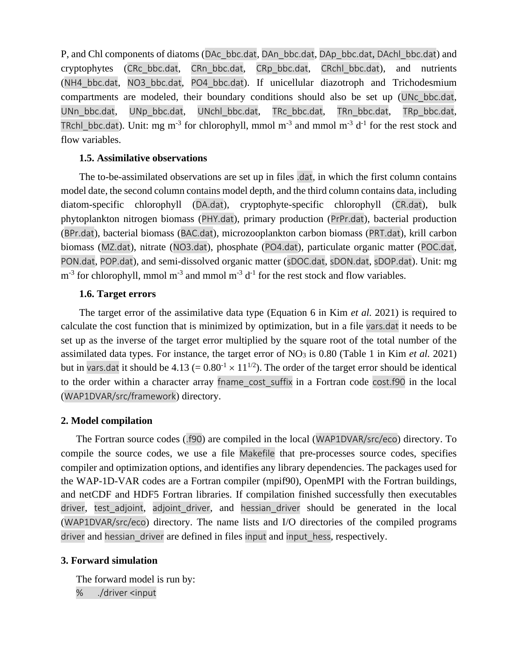P, and Chl components of diatoms (DAc\_bbc.dat, DAn\_bbc.dat, DAp\_bbc.dat, DAchl\_bbc.dat) and cryptophytes (CRc\_bbc.dat, CRn\_bbc.dat, CRp\_bbc.dat, CRchl\_bbc.dat), and nutrients (NH4\_bbc.dat, NO3\_bbc.dat, PO4\_bbc.dat). If unicellular diazotroph and Trichodesmium compartments are modeled, their boundary conditions should also be set up (UNc\_bbc.dat, UNn\_bbc.dat, UNp\_bbc.dat, UNchl\_bbc.dat, TRc\_bbc.dat, TRn\_bbc.dat, TRp\_bbc.dat, TRchl\_bbc.dat). Unit: mg m<sup>-3</sup> for chlorophyll, mmol m<sup>-3</sup> and mmol m<sup>-3</sup> d<sup>-1</sup> for the rest stock and flow variables.

### **1.5. Assimilative observations**

The to-be-assimilated observations are set up in files .dat, in which the first column contains model date, the second column contains model depth, and the third column contains data, including diatom-specific chlorophyll (DA.dat), cryptophyte-specific chlorophyll (CR.dat), bulk phytoplankton nitrogen biomass (PHY.dat), primary production (PrPr.dat), bacterial production (BPr.dat), bacterial biomass (BAC.dat), microzooplankton carbon biomass (PRT.dat), krill carbon biomass (MZ.dat), nitrate (NO3.dat), phosphate (PO4.dat), particulate organic matter (POC.dat, PON.dat, POP.dat), and semi-dissolved organic matter (sDOC.dat, sDON.dat, sDOP.dat). Unit: mg  $m<sup>-3</sup>$  for chlorophyll, mmol  $m<sup>-3</sup>$  and mmol  $m<sup>-3</sup>$  d<sup>-1</sup> for the rest stock and flow variables.

#### **1.6. Target errors**

The target error of the assimilative data type (Equation 6 in Kim *et al.* 2021) is required to calculate the cost function that is minimized by optimization, but in a file vars.dat it needs to be set up as the inverse of the target error multiplied by the square root of the total number of the assimilated data types. For instance, the target error of NO<sup>3</sup> is 0.80 (Table 1 in Kim *et al.* 2021) but in vars.dat it should be  $4.13 (= 0.80<sup>-1</sup> \times 11<sup>1/2</sup>)$ . The order of the target error should be identical to the order within a character array fname cost suffix in a Fortran code cost.f90 in the local (WAP1DVAR/src/framework) directory.

## **2. Model compilation**

The Fortran source codes (.f90) are compiled in the local (WAP1DVAR/src/eco) directory. To compile the source codes, we use a file Makefile that pre-processes source codes, specifies compiler and optimization options, and identifies any library dependencies. The packages used for the WAP-1D-VAR codes are a Fortran compiler (mpif90), OpenMPI with the Fortran buildings, and netCDF and HDF5 Fortran libraries. If compilation finished successfully then executables driver, test adjoint, adjoint driver, and hessian driver should be generated in the local (WAP1DVAR/src/eco) directory. The name lists and I/O directories of the compiled programs driver and hessian driver are defined in files input and input hess, respectively.

## **3. Forward simulation**

The forward model is run by: % ./driver <input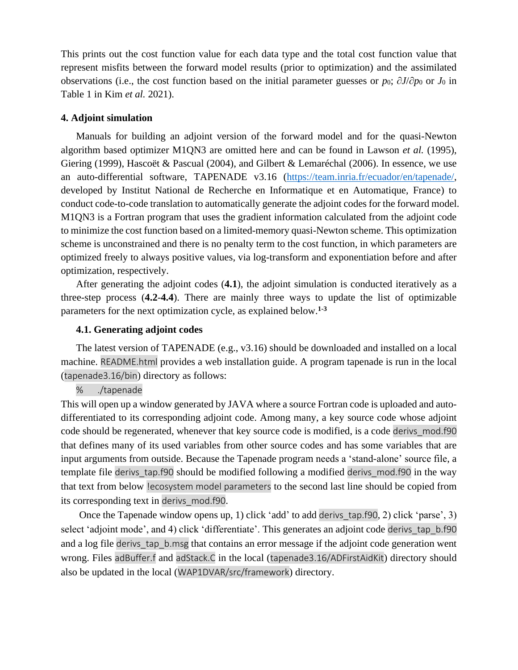This prints out the cost function value for each data type and the total cost function value that represent misfits between the forward model results (prior to optimization) and the assimilated observations (i.e., the cost function based on the initial parameter guesses or *p*0; ∂*J*/∂*p*<sup>0</sup> or *J*<sup>0</sup> in Table 1 in Kim *et al.* 2021).

#### **4. Adjoint simulation**

Manuals for building an adjoint version of the forward model and for the quasi-Newton algorithm based optimizer M1QN3 are omitted here and can be found in Lawson *et al.* (1995), Giering (1999), Hascoët & Pascual (2004), and Gilbert & Lemaréchal (2006). In essence, we use an auto-differential software, TAPENADE v3.16 [\(https://team.inria.fr/ecuador/en/tapenade/,](https://team.inria.fr/ecuador/en/tapenade/) developed by Institut National de Recherche en Informatique et en Automatique, France) to conduct code-to-code translation to automatically generate the adjoint codes for the forward model. M1QN3 is a Fortran program that uses the gradient information calculated from the adjoint code to minimize the cost function based on a limited-memory quasi-Newton scheme. This optimization scheme is unconstrained and there is no penalty term to the cost function, in which parameters are optimized freely to always positive values, via log-transform and exponentiation before and after optimization, respectively.

After generating the adjoint codes (**4.1**), the adjoint simulation is conducted iteratively as a three-step process (**4.2**-**4.4**). There are mainly three ways to update the list of optimizable parameters for the next optimization cycle, as explained below.**1-3**

#### **4.1. Generating adjoint codes**

The latest version of TAPENADE (e.g., v3.16) should be downloaded and installed on a local machine. README.html provides a web installation guide. A program tapenade is run in the local (tapenade3.16/bin) directory as follows:

#### % ./tapenade

This will open up a window generated by JAVA where a source Fortran code is uploaded and autodifferentiated to its corresponding adjoint code. Among many, a key source code whose adjoint code should be regenerated, whenever that key source code is modified, is a code derivs mod.f90 that defines many of its used variables from other source codes and has some variables that are input arguments from outside. Because the Tapenade program needs a 'stand-alone' source file, a template file derivs tap.f90 should be modified following a modified derivs mod.f90 in the way that text from below !ecosystem model parameters to the second last line should be copied from its corresponding text in derivs\_mod.f90.

Once the Tapenade window opens up, 1) click 'add' to add derivs tap.f90, 2) click 'parse', 3) select 'adjoint mode', and 4) click 'differentiate'. This generates an adjoint code derivs tap b.f90 and a log file derivs tap b.msg that contains an error message if the adjoint code generation went wrong. Files adBuffer.f and adStack.C in the local (tapenade3.16/ADFirstAidKit) directory should also be updated in the local (WAP1DVAR/src/framework) directory.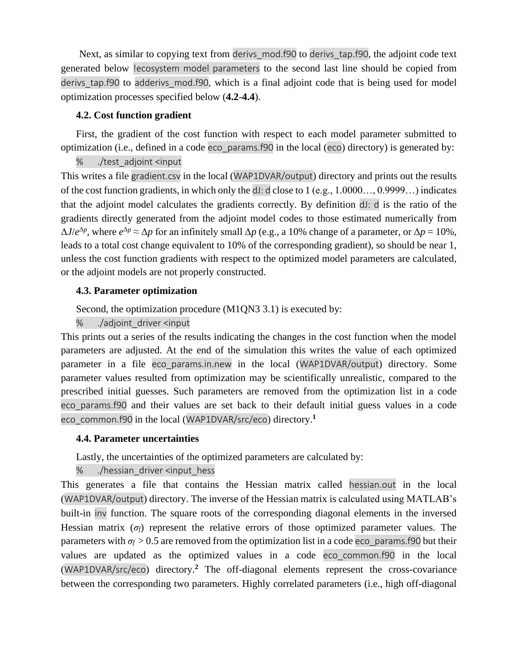Next, as similar to copying text from derivs mod.f90 to derivs tap.f90, the adjoint code text generated below !ecosystem model parameters to the second last line should be copied from derivs tap.f90 to adderivs mod.f90, which is a final adjoint code that is being used for model optimization processes specified below (**4.2**-**4.4**).

## **4.2. Cost function gradient**

First, the gradient of the cost function with respect to each model parameter submitted to optimization (i.e., defined in a code eco\_params.f90 in the local (eco) directory) is generated by:

% ./test\_adjoint <input

This writes a file gradient.csv in the local (WAP1DVAR/output) directory and prints out the results of the cost function gradients, in which only the dJ: d close to 1 (e.g., 1.0000…, 0.9999…) indicates that the adjoint model calculates the gradients correctly. By definition dJ: d is the ratio of the gradients directly generated from the adjoint model codes to those estimated numerically from  $\Delta J/e^{\Delta p}$ , where  $e^{\Delta p} \approx \Delta p$  for an infinitely small  $\Delta p$  (e.g., a 10% change of a parameter, or  $\Delta p = 10$ %, leads to a total cost change equivalent to 10% of the corresponding gradient), so should be near 1, unless the cost function gradients with respect to the optimized model parameters are calculated, or the adjoint models are not properly constructed.

# **4.3. Parameter optimization**

Second, the optimization procedure (M1QN3 3.1) is executed by:

% ./adjoint\_driver <input

This prints out a series of the results indicating the changes in the cost function when the model parameters are adjusted. At the end of the simulation this writes the value of each optimized parameter in a file eco\_params.in.new in the local (WAP1DVAR/output) directory. Some parameter values resulted from optimization may be scientifically unrealistic, compared to the prescribed initial guesses. Such parameters are removed from the optimization list in a code eco\_params.f90 and their values are set back to their default initial guess values in a code eco\_common.f90 in the local (WAP1DVAR/src/eco) directory.**<sup>1</sup>**

# **4.4. Parameter uncertainties**

Lastly, the uncertainties of the optimized parameters are calculated by:

# % ./hessian\_driver <input\_hess

This generates a file that contains the Hessian matrix called hessian.out in the local (WAP1DVAR/output) directory. The inverse of the Hessian matrix is calculated using MATLAB's built-in inv function. The square roots of the corresponding diagonal elements in the inversed Hessian matrix  $(\sigma_f)$  represent the relative errors of those optimized parameter values. The parameters with  $\sigma_f > 0.5$  are removed from the optimization list in a code eco params.f90 but their values are updated as the optimized values in a code eco\_common.f90 in the local (WAP1DVAR/src/eco) directory.**<sup>2</sup>** The off-diagonal elements represent the cross-covariance between the corresponding two parameters. Highly correlated parameters (i.e., high off-diagonal